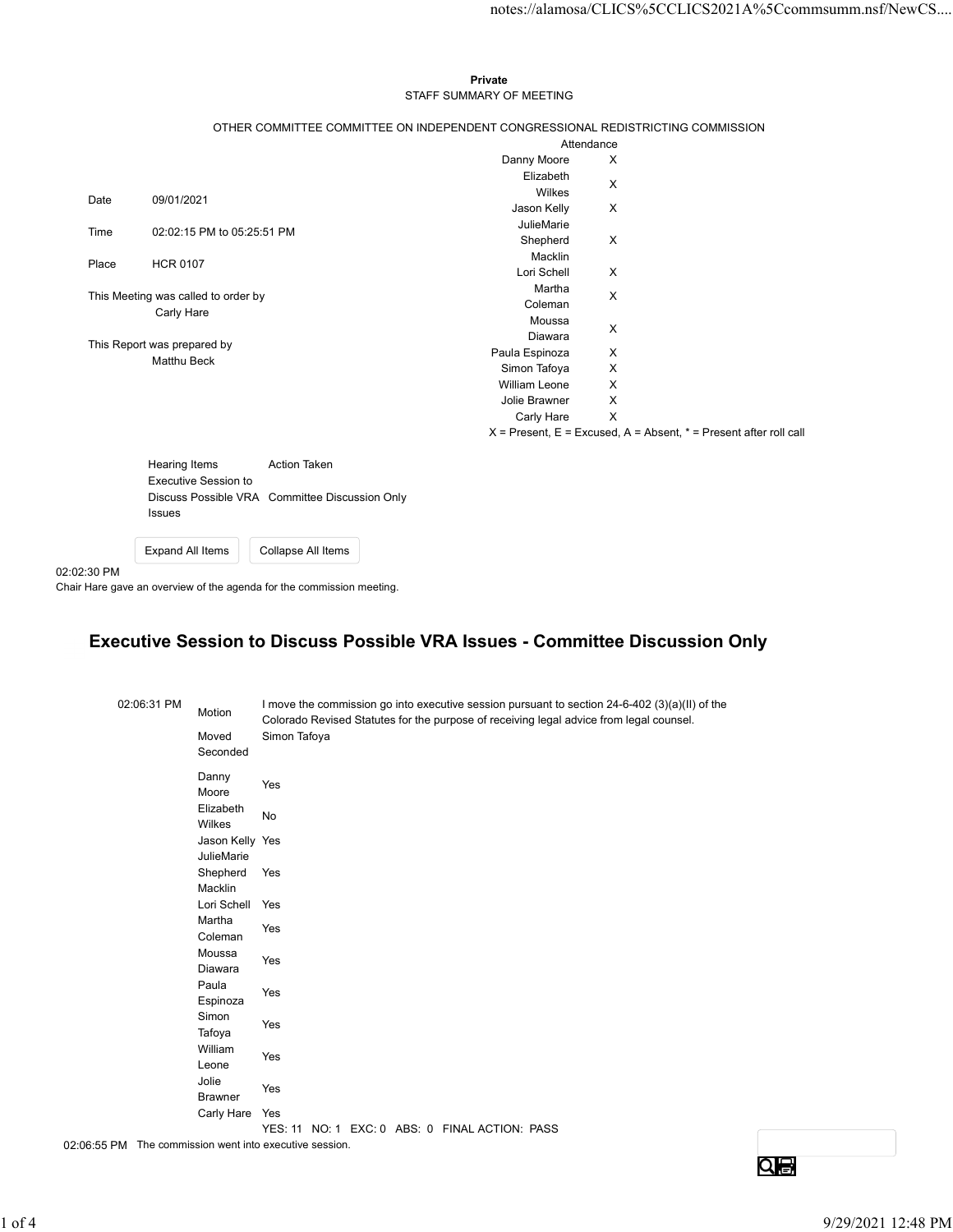## Private STAFF SUMMARY OF MEETING

|          |                                            |                                     |                                                                     |                                                                                                                                                                                           |                                                                       | notes://alamosa/CLICS%5CCLICS2021A%5Ccommsumm.nsf/NewCS |
|----------|--------------------------------------------|-------------------------------------|---------------------------------------------------------------------|-------------------------------------------------------------------------------------------------------------------------------------------------------------------------------------------|-----------------------------------------------------------------------|---------------------------------------------------------|
|          |                                            |                                     |                                                                     | Private<br>STAFF SUMMARY OF MEETING                                                                                                                                                       |                                                                       |                                                         |
|          |                                            |                                     |                                                                     | OTHER COMMITTEE COMMITTEE ON INDEPENDENT CONGRESSIONAL REDISTRICTING COMMISSION                                                                                                           |                                                                       |                                                         |
|          |                                            |                                     |                                                                     | Danny Moore                                                                                                                                                                               | Attendance<br>X                                                       |                                                         |
|          |                                            |                                     |                                                                     | Elizabeth                                                                                                                                                                                 | X                                                                     |                                                         |
| Date     | 09/01/2021                                 |                                     |                                                                     | Wilkes                                                                                                                                                                                    |                                                                       |                                                         |
|          |                                            |                                     |                                                                     | Jason Kelly<br>JulieMarie                                                                                                                                                                 | $\mathsf{X}$                                                          |                                                         |
| Time     |                                            | 02:02:15 PM to 05:25:51 PM          |                                                                     | Shepherd                                                                                                                                                                                  | X                                                                     |                                                         |
| Place    | <b>HCR 0107</b>                            |                                     |                                                                     | Macklin<br>Lori Schell                                                                                                                                                                    | $\boldsymbol{\mathsf{X}}$                                             |                                                         |
|          |                                            | This Meeting was called to order by |                                                                     | Martha                                                                                                                                                                                    | $\boldsymbol{\mathsf{X}}$                                             |                                                         |
|          | Carly Hare                                 |                                     |                                                                     | Coleman                                                                                                                                                                                   |                                                                       |                                                         |
|          |                                            |                                     |                                                                     | Moussa<br>Diawara                                                                                                                                                                         | $\mathsf X$                                                           |                                                         |
|          | This Report was prepared by<br>Matthu Beck |                                     |                                                                     | Paula Espinoza                                                                                                                                                                            | $\mathsf{X}$                                                          |                                                         |
|          |                                            |                                     |                                                                     | Simon Tafoya                                                                                                                                                                              | $\mathsf{X}$                                                          |                                                         |
|          |                                            |                                     |                                                                     | William Leone<br>Jolie Brawner                                                                                                                                                            | X<br>X                                                                |                                                         |
|          |                                            |                                     |                                                                     | Carly Hare                                                                                                                                                                                | $\mathsf{X}$                                                          |                                                         |
|          |                                            |                                     |                                                                     |                                                                                                                                                                                           | $X =$ Present, E = Excused, A = Absent, $* =$ Present after roll call |                                                         |
|          | Hearing Items                              |                                     | <b>Action Taken</b>                                                 |                                                                                                                                                                                           |                                                                       |                                                         |
|          |                                            | <b>Executive Session to</b>         |                                                                     |                                                                                                                                                                                           |                                                                       |                                                         |
|          |                                            |                                     | Discuss Possible VRA Committee Discussion Only                      |                                                                                                                                                                                           |                                                                       |                                                         |
|          | Issues                                     |                                     |                                                                     |                                                                                                                                                                                           |                                                                       |                                                         |
|          |                                            |                                     |                                                                     |                                                                                                                                                                                           |                                                                       |                                                         |
|          | <b>Expand All Items</b>                    |                                     | Collapse All Items                                                  |                                                                                                                                                                                           |                                                                       |                                                         |
|          |                                            |                                     |                                                                     |                                                                                                                                                                                           |                                                                       |                                                         |
|          |                                            |                                     | iir Hare gave an overview of the agenda for the commission meeting. |                                                                                                                                                                                           |                                                                       |                                                         |
|          |                                            |                                     |                                                                     | Executive Session to Discuss Possible VRA Issues - Committee Discussion Only                                                                                                              |                                                                       |                                                         |
| 02:30 PM |                                            |                                     |                                                                     |                                                                                                                                                                                           |                                                                       |                                                         |
|          |                                            |                                     |                                                                     |                                                                                                                                                                                           |                                                                       |                                                         |
|          | 02:06:31 PM                                | Motion                              |                                                                     | I move the commission go into executive session pursuant to section 24-6-402 (3)(a)(II) of the<br>Colorado Revised Statutes for the purpose of receiving legal advice from legal counsel. |                                                                       |                                                         |
|          |                                            | Moved<br>Seconded                   | Simon Tafoya                                                        |                                                                                                                                                                                           |                                                                       |                                                         |
|          |                                            | Danny                               | Yes                                                                 |                                                                                                                                                                                           |                                                                       |                                                         |
|          |                                            | Moore<br>Elizabeth                  | No                                                                  |                                                                                                                                                                                           |                                                                       |                                                         |

| Hearing Items               | Action Taken                                   |
|-----------------------------|------------------------------------------------|
| <b>Executive Session to</b> |                                                |
|                             | Discuss Possible VRA Committee Discussion Only |
| <b>Issues</b>               |                                                |
|                             |                                                |

## Executive Session to Discuss Possible VRA Issues - Committee Discussion Only

| <b>Action Taken</b><br>Hearing Items<br><b>Executive Session to</b><br>Discuss Possible VRA Committee Discussion Only<br>Issues<br>Expand All Items<br>Collapse All Items<br>Executive Session to Discuss Possible VRA Issues - Committee Discussion Only<br>02:06:31 PM<br>I move the commission go into executive session pursuant to section 24-6-402 (3)(a)(II) of the<br>Motion<br>Colorado Revised Statutes for the purpose of receiving legal advice from legal counsel.<br>Simon Tafoya<br>Moved<br>Seconded<br>Danny<br>Yes<br>Moore<br>Elizabeth<br>No<br>Wilkes<br>Jason Kelly Yes<br>JulieMarie<br>Shepherd Yes<br>Macklin<br>Lori Schell<br>Yes<br>Martha<br>Yes<br>Coleman<br>Moussa<br>Yes<br>Diawara<br>Paula<br>Yes<br>Espinoza<br>Simon<br>Yes<br>Tafoya<br>William<br>Yes<br>Leone<br>Jolie<br>Yes<br>Brawner<br>Carly Hare Yes<br>YES: 11 NO: 1 EXC: 0 ABS: 0 FINAL ACTION: PASS<br><u>Qe</u> |             |  | $X =$ Present, $E =$ Excused, $A =$ Absent, $\gamma =$ Present after foll call |  |
|-------------------------------------------------------------------------------------------------------------------------------------------------------------------------------------------------------------------------------------------------------------------------------------------------------------------------------------------------------------------------------------------------------------------------------------------------------------------------------------------------------------------------------------------------------------------------------------------------------------------------------------------------------------------------------------------------------------------------------------------------------------------------------------------------------------------------------------------------------------------------------------------------------------------|-------------|--|--------------------------------------------------------------------------------|--|
|                                                                                                                                                                                                                                                                                                                                                                                                                                                                                                                                                                                                                                                                                                                                                                                                                                                                                                                   |             |  |                                                                                |  |
|                                                                                                                                                                                                                                                                                                                                                                                                                                                                                                                                                                                                                                                                                                                                                                                                                                                                                                                   |             |  |                                                                                |  |
|                                                                                                                                                                                                                                                                                                                                                                                                                                                                                                                                                                                                                                                                                                                                                                                                                                                                                                                   |             |  |                                                                                |  |
| Chair Hare gave an overview of the agenda for the commission meeting.                                                                                                                                                                                                                                                                                                                                                                                                                                                                                                                                                                                                                                                                                                                                                                                                                                             |             |  |                                                                                |  |
|                                                                                                                                                                                                                                                                                                                                                                                                                                                                                                                                                                                                                                                                                                                                                                                                                                                                                                                   | 02:02:30 PM |  |                                                                                |  |
| 02:06:55 PM The commission went into executive session.                                                                                                                                                                                                                                                                                                                                                                                                                                                                                                                                                                                                                                                                                                                                                                                                                                                           |             |  |                                                                                |  |
|                                                                                                                                                                                                                                                                                                                                                                                                                                                                                                                                                                                                                                                                                                                                                                                                                                                                                                                   |             |  |                                                                                |  |
|                                                                                                                                                                                                                                                                                                                                                                                                                                                                                                                                                                                                                                                                                                                                                                                                                                                                                                                   |             |  |                                                                                |  |
|                                                                                                                                                                                                                                                                                                                                                                                                                                                                                                                                                                                                                                                                                                                                                                                                                                                                                                                   |             |  |                                                                                |  |
|                                                                                                                                                                                                                                                                                                                                                                                                                                                                                                                                                                                                                                                                                                                                                                                                                                                                                                                   |             |  |                                                                                |  |
|                                                                                                                                                                                                                                                                                                                                                                                                                                                                                                                                                                                                                                                                                                                                                                                                                                                                                                                   |             |  |                                                                                |  |
|                                                                                                                                                                                                                                                                                                                                                                                                                                                                                                                                                                                                                                                                                                                                                                                                                                                                                                                   |             |  |                                                                                |  |
|                                                                                                                                                                                                                                                                                                                                                                                                                                                                                                                                                                                                                                                                                                                                                                                                                                                                                                                   |             |  |                                                                                |  |
|                                                                                                                                                                                                                                                                                                                                                                                                                                                                                                                                                                                                                                                                                                                                                                                                                                                                                                                   |             |  |                                                                                |  |
|                                                                                                                                                                                                                                                                                                                                                                                                                                                                                                                                                                                                                                                                                                                                                                                                                                                                                                                   |             |  |                                                                                |  |
|                                                                                                                                                                                                                                                                                                                                                                                                                                                                                                                                                                                                                                                                                                                                                                                                                                                                                                                   |             |  |                                                                                |  |
|                                                                                                                                                                                                                                                                                                                                                                                                                                                                                                                                                                                                                                                                                                                                                                                                                                                                                                                   |             |  |                                                                                |  |
|                                                                                                                                                                                                                                                                                                                                                                                                                                                                                                                                                                                                                                                                                                                                                                                                                                                                                                                   |             |  |                                                                                |  |
|                                                                                                                                                                                                                                                                                                                                                                                                                                                                                                                                                                                                                                                                                                                                                                                                                                                                                                                   |             |  |                                                                                |  |
|                                                                                                                                                                                                                                                                                                                                                                                                                                                                                                                                                                                                                                                                                                                                                                                                                                                                                                                   |             |  |                                                                                |  |
|                                                                                                                                                                                                                                                                                                                                                                                                                                                                                                                                                                                                                                                                                                                                                                                                                                                                                                                   |             |  |                                                                                |  |
|                                                                                                                                                                                                                                                                                                                                                                                                                                                                                                                                                                                                                                                                                                                                                                                                                                                                                                                   |             |  |                                                                                |  |
|                                                                                                                                                                                                                                                                                                                                                                                                                                                                                                                                                                                                                                                                                                                                                                                                                                                                                                                   |             |  |                                                                                |  |
|                                                                                                                                                                                                                                                                                                                                                                                                                                                                                                                                                                                                                                                                                                                                                                                                                                                                                                                   |             |  |                                                                                |  |
|                                                                                                                                                                                                                                                                                                                                                                                                                                                                                                                                                                                                                                                                                                                                                                                                                                                                                                                   |             |  |                                                                                |  |
|                                                                                                                                                                                                                                                                                                                                                                                                                                                                                                                                                                                                                                                                                                                                                                                                                                                                                                                   |             |  |                                                                                |  |
|                                                                                                                                                                                                                                                                                                                                                                                                                                                                                                                                                                                                                                                                                                                                                                                                                                                                                                                   |             |  |                                                                                |  |
|                                                                                                                                                                                                                                                                                                                                                                                                                                                                                                                                                                                                                                                                                                                                                                                                                                                                                                                   |             |  |                                                                                |  |
|                                                                                                                                                                                                                                                                                                                                                                                                                                                                                                                                                                                                                                                                                                                                                                                                                                                                                                                   |             |  |                                                                                |  |
|                                                                                                                                                                                                                                                                                                                                                                                                                                                                                                                                                                                                                                                                                                                                                                                                                                                                                                                   |             |  |                                                                                |  |
| 9/29/2021 12:48 PM                                                                                                                                                                                                                                                                                                                                                                                                                                                                                                                                                                                                                                                                                                                                                                                                                                                                                                |             |  |                                                                                |  |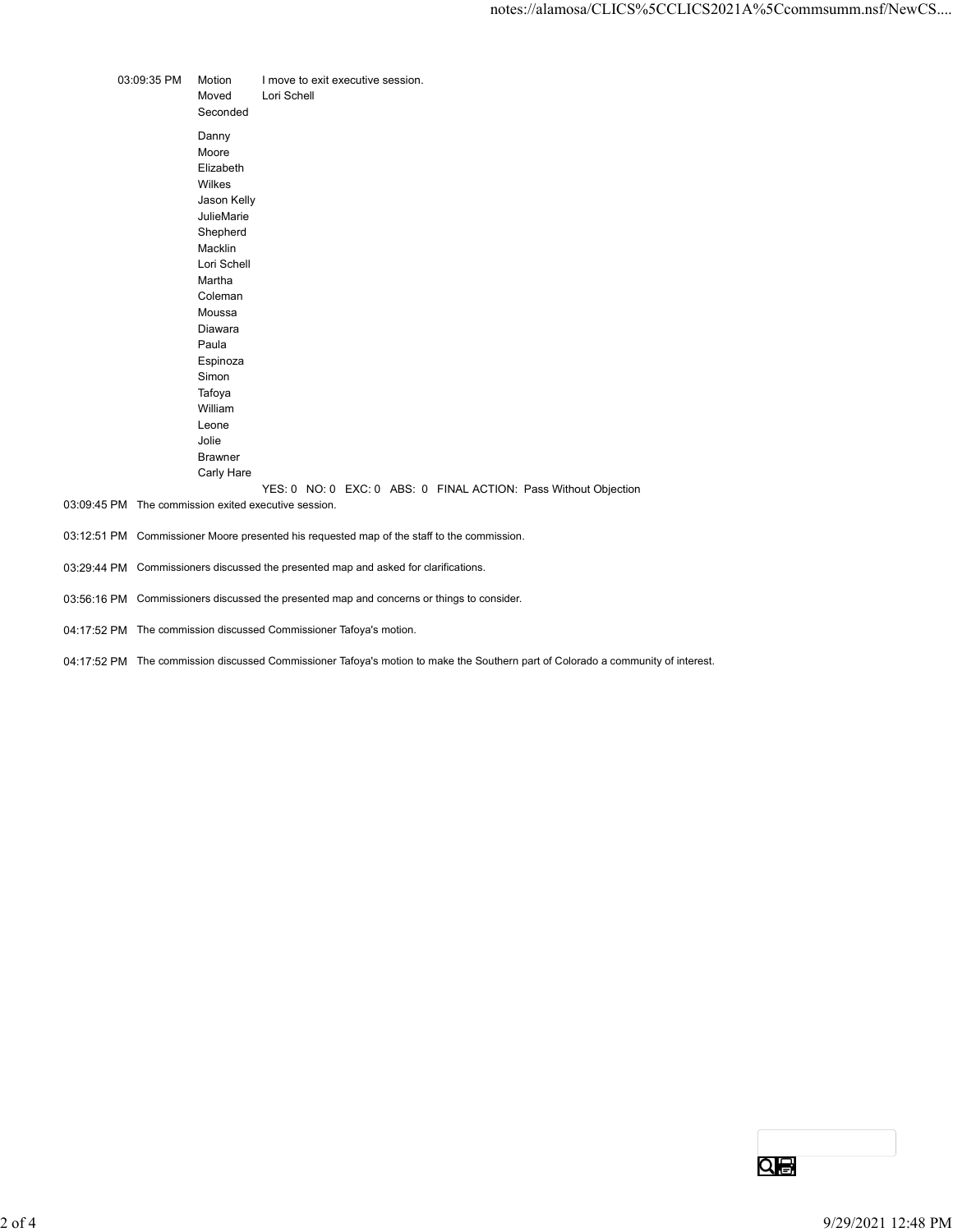|             |                       | notes://alamosa/CLICS%5CCLICS2021A%5Ccommsumm.nsf/New           |
|-------------|-----------------------|-----------------------------------------------------------------|
|             |                       |                                                                 |
|             |                       |                                                                 |
| 03:09:35 PM | Motion<br>Moved       | I move to exit executive session.<br>Lori Schell                |
|             | Seconded              |                                                                 |
|             | Danny                 |                                                                 |
|             | Moore                 |                                                                 |
|             | Elizabeth<br>Wilkes   |                                                                 |
|             | Jason Kelly           |                                                                 |
|             | JulieMarie            |                                                                 |
|             | Shepherd              |                                                                 |
|             | Macklin               |                                                                 |
|             | Lori Schell<br>Martha |                                                                 |
|             | Coleman               |                                                                 |
|             | Moussa                |                                                                 |
|             | Diawara               |                                                                 |
|             | Paula                 |                                                                 |
|             | Espinoza              |                                                                 |
|             | Simon<br>Tafoya       |                                                                 |
|             | William               |                                                                 |
|             | Leone                 |                                                                 |
|             | Jolie                 |                                                                 |
|             | <b>Brawner</b>        |                                                                 |
|             | Carly Hare            |                                                                 |
|             |                       | YES: 0 NO: 0 EXC: 0 ABS: 0 FINAL ACTION: Pass Without Objection |
|             |                       | 03:09:45 PM The commission exited executive session.            |

- 03:12:51 PM Commissioner Moore presented his requested map of the staff to the commission.
- 03:29:44 PM Commissioners discussed the presented map and asked for clarifications.
- 03:56:16 PM Commissioners discussed the presented map and concerns or things to consider.
- 04:17:52 PM The commission discussed Commissioner Tafoya's motion.
- 04:17:52 PM The commission discussed Commissioner Tafoya's motion to make the Southern part of Colorado a community of interest.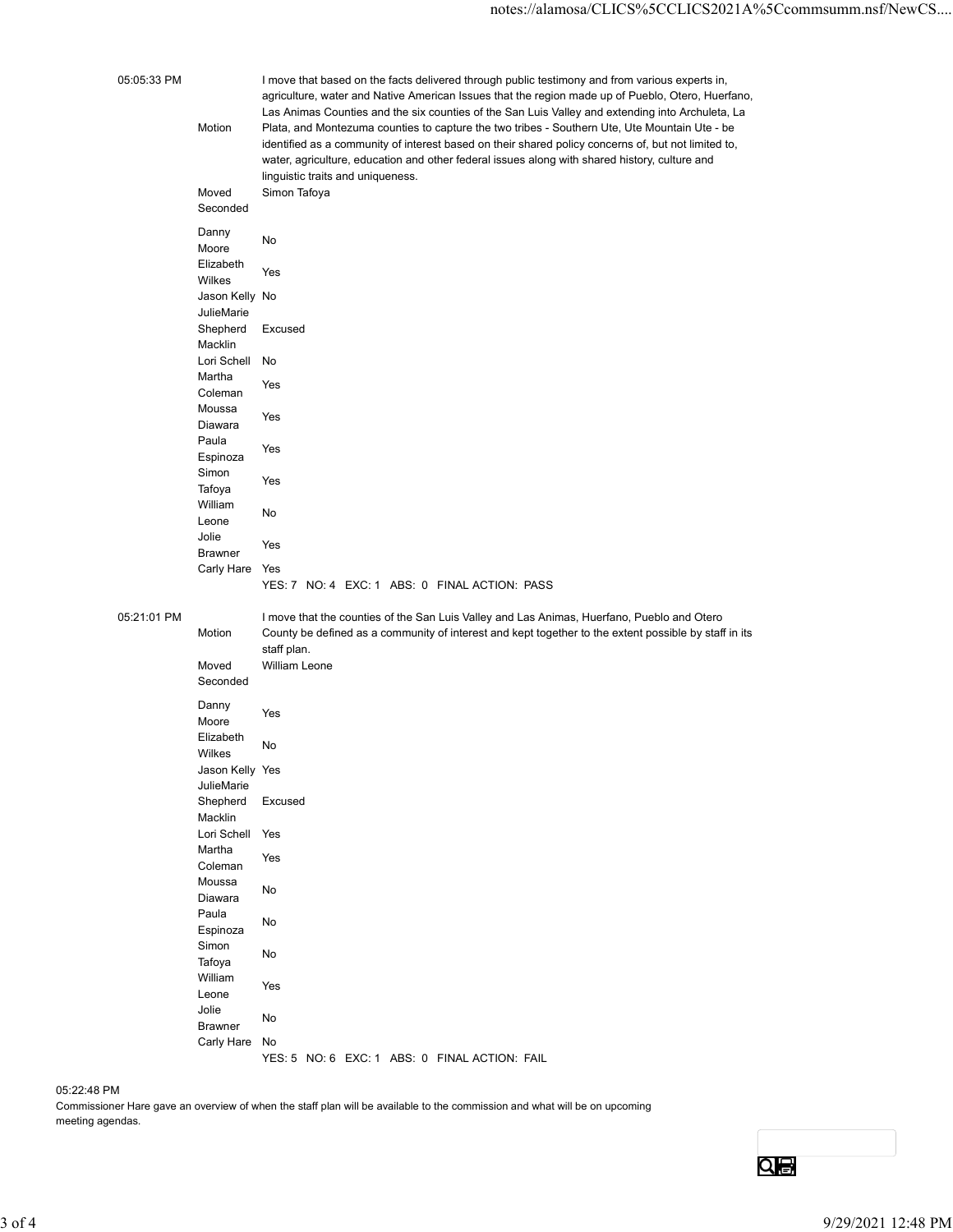| 05:05:33 PM<br>I move that based on the facts delivered through public testimony and from various experts in,<br>agriculture, water and Native American Issues that the region made up of Pueblo, Otero, Huerfano,<br>Las Animas Counties and the six counties of the San Luis Valley and extending into Archuleta, La<br>Plata, and Montezuma counties to capture the two tribes - Southern Ute, Ute Mountain Ute - be<br>Motion<br>identified as a community of interest based on their shared policy concerns of, but not limited to,<br>water, agriculture, education and other federal issues along with shared history, culture and<br>linguistic traits and uniqueness.<br>Simon Tafoya<br>Moved<br>Seconded<br>Danny<br>No<br>Moore<br>Elizabeth<br>Yes<br>Wilkes<br>Jason Kelly No<br>JulieMarie<br>Shepherd Excused<br>Macklin<br>Lori Schell No<br>Martha<br>Yes<br>Coleman<br>Moussa<br>Yes<br>Diawara<br>Paula<br>Yes<br>Espinoza<br>Simon<br>Yes<br>Tafoya<br>William<br>No<br>Leone<br>Jolie<br>Yes<br><b>Brawner</b><br>Carly Hare Yes<br>YES: 7 NO: 4 EXC: 1 ABS: 0 FINAL ACTION: PASS<br>05:21:01 PM<br>I move that the counties of the San Luis Valley and Las Animas, Huerfano, Pueblo and Otero<br>County be defined as a community of interest and kept together to the extent possible by staff in its<br>Motion<br>staff plan.<br>William Leone<br>Moved<br>Seconded<br>Danny<br>Yes<br>Moore<br>Elizabeth<br>No<br>Wilkes<br>Jason Kelly Yes<br>JulieMarie<br>Shepherd Excused<br>Macklin<br>Lori Schell Yes<br>Martha<br>Yes<br>Coleman<br>Moussa<br>$\operatorname{\mathsf{No}}$<br>Diawara<br>Paula<br>No<br>Espinoza<br>Simon<br>$\operatorname{\mathsf{No}}$<br>Tafoya<br>William<br>Yes<br>Leone<br>Jolie<br>No<br><b>Brawner</b><br>Carly Hare No<br>YES: 5 NO: 6 EXC: 1 ABS: 0 FINAL ACTION: FAIL<br>05:22:48 PM<br>Commissioner Hare gave an overview of when the staff plan will be available to the commission and what will be on upcoming<br>meeting agendas.<br><u>Qe</u> |          |  | notes://alamosa/CLICS%5CCLICS2021A%5Ccommsumm.nsf/NewCS |                    |
|------------------------------------------------------------------------------------------------------------------------------------------------------------------------------------------------------------------------------------------------------------------------------------------------------------------------------------------------------------------------------------------------------------------------------------------------------------------------------------------------------------------------------------------------------------------------------------------------------------------------------------------------------------------------------------------------------------------------------------------------------------------------------------------------------------------------------------------------------------------------------------------------------------------------------------------------------------------------------------------------------------------------------------------------------------------------------------------------------------------------------------------------------------------------------------------------------------------------------------------------------------------------------------------------------------------------------------------------------------------------------------------------------------------------------------------------------------------------------------------------------------------------------------------------------------------------------------------------------------------------------------------------------------------------------------------------------------------------------------------------------------------------------------------------------------------------------------------------------------------------------------------------------------------------------------------------------------------------------------------------------------------|----------|--|---------------------------------------------------------|--------------------|
|                                                                                                                                                                                                                                                                                                                                                                                                                                                                                                                                                                                                                                                                                                                                                                                                                                                                                                                                                                                                                                                                                                                                                                                                                                                                                                                                                                                                                                                                                                                                                                                                                                                                                                                                                                                                                                                                                                                                                                                                                  |          |  |                                                         |                    |
|                                                                                                                                                                                                                                                                                                                                                                                                                                                                                                                                                                                                                                                                                                                                                                                                                                                                                                                                                                                                                                                                                                                                                                                                                                                                                                                                                                                                                                                                                                                                                                                                                                                                                                                                                                                                                                                                                                                                                                                                                  |          |  |                                                         |                    |
|                                                                                                                                                                                                                                                                                                                                                                                                                                                                                                                                                                                                                                                                                                                                                                                                                                                                                                                                                                                                                                                                                                                                                                                                                                                                                                                                                                                                                                                                                                                                                                                                                                                                                                                                                                                                                                                                                                                                                                                                                  |          |  |                                                         |                    |
|                                                                                                                                                                                                                                                                                                                                                                                                                                                                                                                                                                                                                                                                                                                                                                                                                                                                                                                                                                                                                                                                                                                                                                                                                                                                                                                                                                                                                                                                                                                                                                                                                                                                                                                                                                                                                                                                                                                                                                                                                  |          |  |                                                         |                    |
|                                                                                                                                                                                                                                                                                                                                                                                                                                                                                                                                                                                                                                                                                                                                                                                                                                                                                                                                                                                                                                                                                                                                                                                                                                                                                                                                                                                                                                                                                                                                                                                                                                                                                                                                                                                                                                                                                                                                                                                                                  |          |  |                                                         |                    |
|                                                                                                                                                                                                                                                                                                                                                                                                                                                                                                                                                                                                                                                                                                                                                                                                                                                                                                                                                                                                                                                                                                                                                                                                                                                                                                                                                                                                                                                                                                                                                                                                                                                                                                                                                                                                                                                                                                                                                                                                                  |          |  |                                                         |                    |
|                                                                                                                                                                                                                                                                                                                                                                                                                                                                                                                                                                                                                                                                                                                                                                                                                                                                                                                                                                                                                                                                                                                                                                                                                                                                                                                                                                                                                                                                                                                                                                                                                                                                                                                                                                                                                                                                                                                                                                                                                  |          |  |                                                         |                    |
|                                                                                                                                                                                                                                                                                                                                                                                                                                                                                                                                                                                                                                                                                                                                                                                                                                                                                                                                                                                                                                                                                                                                                                                                                                                                                                                                                                                                                                                                                                                                                                                                                                                                                                                                                                                                                                                                                                                                                                                                                  |          |  |                                                         |                    |
|                                                                                                                                                                                                                                                                                                                                                                                                                                                                                                                                                                                                                                                                                                                                                                                                                                                                                                                                                                                                                                                                                                                                                                                                                                                                                                                                                                                                                                                                                                                                                                                                                                                                                                                                                                                                                                                                                                                                                                                                                  |          |  |                                                         |                    |
|                                                                                                                                                                                                                                                                                                                                                                                                                                                                                                                                                                                                                                                                                                                                                                                                                                                                                                                                                                                                                                                                                                                                                                                                                                                                                                                                                                                                                                                                                                                                                                                                                                                                                                                                                                                                                                                                                                                                                                                                                  |          |  |                                                         |                    |
|                                                                                                                                                                                                                                                                                                                                                                                                                                                                                                                                                                                                                                                                                                                                                                                                                                                                                                                                                                                                                                                                                                                                                                                                                                                                                                                                                                                                                                                                                                                                                                                                                                                                                                                                                                                                                                                                                                                                                                                                                  |          |  |                                                         |                    |
|                                                                                                                                                                                                                                                                                                                                                                                                                                                                                                                                                                                                                                                                                                                                                                                                                                                                                                                                                                                                                                                                                                                                                                                                                                                                                                                                                                                                                                                                                                                                                                                                                                                                                                                                                                                                                                                                                                                                                                                                                  |          |  |                                                         |                    |
|                                                                                                                                                                                                                                                                                                                                                                                                                                                                                                                                                                                                                                                                                                                                                                                                                                                                                                                                                                                                                                                                                                                                                                                                                                                                                                                                                                                                                                                                                                                                                                                                                                                                                                                                                                                                                                                                                                                                                                                                                  |          |  |                                                         |                    |
|                                                                                                                                                                                                                                                                                                                                                                                                                                                                                                                                                                                                                                                                                                                                                                                                                                                                                                                                                                                                                                                                                                                                                                                                                                                                                                                                                                                                                                                                                                                                                                                                                                                                                                                                                                                                                                                                                                                                                                                                                  |          |  |                                                         |                    |
|                                                                                                                                                                                                                                                                                                                                                                                                                                                                                                                                                                                                                                                                                                                                                                                                                                                                                                                                                                                                                                                                                                                                                                                                                                                                                                                                                                                                                                                                                                                                                                                                                                                                                                                                                                                                                                                                                                                                                                                                                  |          |  |                                                         |                    |
|                                                                                                                                                                                                                                                                                                                                                                                                                                                                                                                                                                                                                                                                                                                                                                                                                                                                                                                                                                                                                                                                                                                                                                                                                                                                                                                                                                                                                                                                                                                                                                                                                                                                                                                                                                                                                                                                                                                                                                                                                  |          |  |                                                         |                    |
|                                                                                                                                                                                                                                                                                                                                                                                                                                                                                                                                                                                                                                                                                                                                                                                                                                                                                                                                                                                                                                                                                                                                                                                                                                                                                                                                                                                                                                                                                                                                                                                                                                                                                                                                                                                                                                                                                                                                                                                                                  |          |  |                                                         |                    |
|                                                                                                                                                                                                                                                                                                                                                                                                                                                                                                                                                                                                                                                                                                                                                                                                                                                                                                                                                                                                                                                                                                                                                                                                                                                                                                                                                                                                                                                                                                                                                                                                                                                                                                                                                                                                                                                                                                                                                                                                                  |          |  |                                                         |                    |
|                                                                                                                                                                                                                                                                                                                                                                                                                                                                                                                                                                                                                                                                                                                                                                                                                                                                                                                                                                                                                                                                                                                                                                                                                                                                                                                                                                                                                                                                                                                                                                                                                                                                                                                                                                                                                                                                                                                                                                                                                  |          |  |                                                         |                    |
|                                                                                                                                                                                                                                                                                                                                                                                                                                                                                                                                                                                                                                                                                                                                                                                                                                                                                                                                                                                                                                                                                                                                                                                                                                                                                                                                                                                                                                                                                                                                                                                                                                                                                                                                                                                                                                                                                                                                                                                                                  |          |  |                                                         |                    |
|                                                                                                                                                                                                                                                                                                                                                                                                                                                                                                                                                                                                                                                                                                                                                                                                                                                                                                                                                                                                                                                                                                                                                                                                                                                                                                                                                                                                                                                                                                                                                                                                                                                                                                                                                                                                                                                                                                                                                                                                                  |          |  |                                                         |                    |
|                                                                                                                                                                                                                                                                                                                                                                                                                                                                                                                                                                                                                                                                                                                                                                                                                                                                                                                                                                                                                                                                                                                                                                                                                                                                                                                                                                                                                                                                                                                                                                                                                                                                                                                                                                                                                                                                                                                                                                                                                  |          |  |                                                         |                    |
|                                                                                                                                                                                                                                                                                                                                                                                                                                                                                                                                                                                                                                                                                                                                                                                                                                                                                                                                                                                                                                                                                                                                                                                                                                                                                                                                                                                                                                                                                                                                                                                                                                                                                                                                                                                                                                                                                                                                                                                                                  |          |  |                                                         |                    |
|                                                                                                                                                                                                                                                                                                                                                                                                                                                                                                                                                                                                                                                                                                                                                                                                                                                                                                                                                                                                                                                                                                                                                                                                                                                                                                                                                                                                                                                                                                                                                                                                                                                                                                                                                                                                                                                                                                                                                                                                                  |          |  |                                                         |                    |
|                                                                                                                                                                                                                                                                                                                                                                                                                                                                                                                                                                                                                                                                                                                                                                                                                                                                                                                                                                                                                                                                                                                                                                                                                                                                                                                                                                                                                                                                                                                                                                                                                                                                                                                                                                                                                                                                                                                                                                                                                  |          |  |                                                         |                    |
|                                                                                                                                                                                                                                                                                                                                                                                                                                                                                                                                                                                                                                                                                                                                                                                                                                                                                                                                                                                                                                                                                                                                                                                                                                                                                                                                                                                                                                                                                                                                                                                                                                                                                                                                                                                                                                                                                                                                                                                                                  |          |  |                                                         |                    |
|                                                                                                                                                                                                                                                                                                                                                                                                                                                                                                                                                                                                                                                                                                                                                                                                                                                                                                                                                                                                                                                                                                                                                                                                                                                                                                                                                                                                                                                                                                                                                                                                                                                                                                                                                                                                                                                                                                                                                                                                                  |          |  |                                                         |                    |
|                                                                                                                                                                                                                                                                                                                                                                                                                                                                                                                                                                                                                                                                                                                                                                                                                                                                                                                                                                                                                                                                                                                                                                                                                                                                                                                                                                                                                                                                                                                                                                                                                                                                                                                                                                                                                                                                                                                                                                                                                  |          |  |                                                         |                    |
|                                                                                                                                                                                                                                                                                                                                                                                                                                                                                                                                                                                                                                                                                                                                                                                                                                                                                                                                                                                                                                                                                                                                                                                                                                                                                                                                                                                                                                                                                                                                                                                                                                                                                                                                                                                                                                                                                                                                                                                                                  |          |  |                                                         |                    |
|                                                                                                                                                                                                                                                                                                                                                                                                                                                                                                                                                                                                                                                                                                                                                                                                                                                                                                                                                                                                                                                                                                                                                                                                                                                                                                                                                                                                                                                                                                                                                                                                                                                                                                                                                                                                                                                                                                                                                                                                                  |          |  |                                                         |                    |
|                                                                                                                                                                                                                                                                                                                                                                                                                                                                                                                                                                                                                                                                                                                                                                                                                                                                                                                                                                                                                                                                                                                                                                                                                                                                                                                                                                                                                                                                                                                                                                                                                                                                                                                                                                                                                                                                                                                                                                                                                  |          |  |                                                         |                    |
|                                                                                                                                                                                                                                                                                                                                                                                                                                                                                                                                                                                                                                                                                                                                                                                                                                                                                                                                                                                                                                                                                                                                                                                                                                                                                                                                                                                                                                                                                                                                                                                                                                                                                                                                                                                                                                                                                                                                                                                                                  |          |  |                                                         |                    |
|                                                                                                                                                                                                                                                                                                                                                                                                                                                                                                                                                                                                                                                                                                                                                                                                                                                                                                                                                                                                                                                                                                                                                                                                                                                                                                                                                                                                                                                                                                                                                                                                                                                                                                                                                                                                                                                                                                                                                                                                                  |          |  |                                                         |                    |
|                                                                                                                                                                                                                                                                                                                                                                                                                                                                                                                                                                                                                                                                                                                                                                                                                                                                                                                                                                                                                                                                                                                                                                                                                                                                                                                                                                                                                                                                                                                                                                                                                                                                                                                                                                                                                                                                                                                                                                                                                  |          |  |                                                         |                    |
|                                                                                                                                                                                                                                                                                                                                                                                                                                                                                                                                                                                                                                                                                                                                                                                                                                                                                                                                                                                                                                                                                                                                                                                                                                                                                                                                                                                                                                                                                                                                                                                                                                                                                                                                                                                                                                                                                                                                                                                                                  |          |  |                                                         |                    |
|                                                                                                                                                                                                                                                                                                                                                                                                                                                                                                                                                                                                                                                                                                                                                                                                                                                                                                                                                                                                                                                                                                                                                                                                                                                                                                                                                                                                                                                                                                                                                                                                                                                                                                                                                                                                                                                                                                                                                                                                                  |          |  |                                                         |                    |
|                                                                                                                                                                                                                                                                                                                                                                                                                                                                                                                                                                                                                                                                                                                                                                                                                                                                                                                                                                                                                                                                                                                                                                                                                                                                                                                                                                                                                                                                                                                                                                                                                                                                                                                                                                                                                                                                                                                                                                                                                  |          |  |                                                         |                    |
|                                                                                                                                                                                                                                                                                                                                                                                                                                                                                                                                                                                                                                                                                                                                                                                                                                                                                                                                                                                                                                                                                                                                                                                                                                                                                                                                                                                                                                                                                                                                                                                                                                                                                                                                                                                                                                                                                                                                                                                                                  |          |  |                                                         |                    |
|                                                                                                                                                                                                                                                                                                                                                                                                                                                                                                                                                                                                                                                                                                                                                                                                                                                                                                                                                                                                                                                                                                                                                                                                                                                                                                                                                                                                                                                                                                                                                                                                                                                                                                                                                                                                                                                                                                                                                                                                                  |          |  |                                                         |                    |
|                                                                                                                                                                                                                                                                                                                                                                                                                                                                                                                                                                                                                                                                                                                                                                                                                                                                                                                                                                                                                                                                                                                                                                                                                                                                                                                                                                                                                                                                                                                                                                                                                                                                                                                                                                                                                                                                                                                                                                                                                  | $3$ of 4 |  |                                                         | 9/29/2021 12:48 PM |